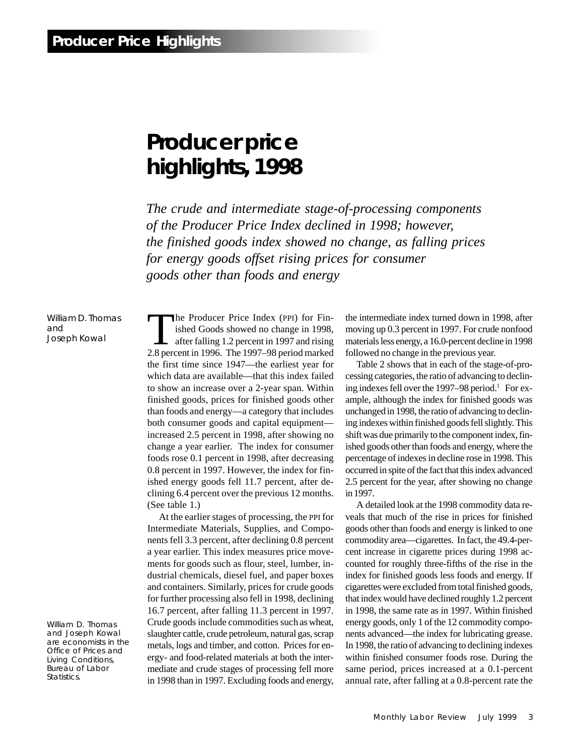# **Producer price highlights, 1998**

*The crude and intermediate stage-of-processing components of the Producer Price Index declined in 1998; however, the finished goods index showed no change, as falling prices for energy goods offset rising prices for consumer goods other than foods and energy*

William D. Thomas and Joseph Kowal

William D. Thomas and Joseph Kowal are economists in the Office of Prices and Living Conditions, Bureau of Labor Statistics.

The Producer Price Index (PPI) for Finished Goods showed no change in 1998, after falling 1.2 percent in 1997 and rising 2.8 percent in 1996. The 1997–98 period marked the first time since 1947—the earliest year for which data are available—that this index failed to show an increase over a 2-year span. Within finished goods, prices for finished goods other than foods and energy—a category that includes both consumer goods and capital equipment increased 2.5 percent in 1998, after showing no change a year earlier. The index for consumer foods rose 0.1 percent in 1998, after decreasing 0.8 percent in 1997. However, the index for finished energy goods fell 11.7 percent, after declining 6.4 percent over the previous 12 months. (See table 1.)

At the earlier stages of processing, the PPI for Intermediate Materials, Supplies, and Components fell 3.3 percent, after declining 0.8 percent a year earlier. This index measures price movements for goods such as flour, steel, lumber, industrial chemicals, diesel fuel, and paper boxes and containers. Similarly, prices for crude goods for further processing also fell in 1998, declining 16.7 percent, after falling 11.3 percent in 1997. Crude goods include commodities such as wheat, slaughter cattle, crude petroleum, natural gas, scrap metals, logs and timber, and cotton. Prices for energy- and food-related materials at both the intermediate and crude stages of processing fell more in 1998 than in 1997. Excluding foods and energy, the intermediate index turned down in 1998, after moving up 0.3 percent in 1997. For crude nonfood materials less energy, a 16.0-percent decline in 1998 followed no change in the previous year.

Table 2 shows that in each of the stage-of-processing categories, the ratio of advancing to declining indexes fell over the 1997–98 period.<sup>1</sup> For example, although the index for finished goods was unchanged in 1998, the ratio of advancing to declining indexes within finished goods fell slightly. This shift was due primarily to the component index, finished goods other than foods and energy, where the percentage of indexes in decline rose in 1998. This occurred in spite of the fact that this index advanced 2.5 percent for the year, after showing no change in 1997.

A detailed look at the 1998 commodity data reveals that much of the rise in prices for finished goods other than foods and energy is linked to one commodity area—cigarettes. In fact, the 49.4-percent increase in cigarette prices during 1998 accounted for roughly three-fifths of the rise in the index for finished goods less foods and energy. If cigarettes were excluded from total finished goods, that index would have declined roughly 1.2 percent in 1998, the same rate as in 1997. Within finished energy goods, only 1 of the 12 commodity components advanced—the index for lubricating grease. In 1998, the ratio of advancing to declining indexes within finished consumer foods rose. During the same period, prices increased at a 0.1-percent annual rate, after falling at a 0.8-percent rate the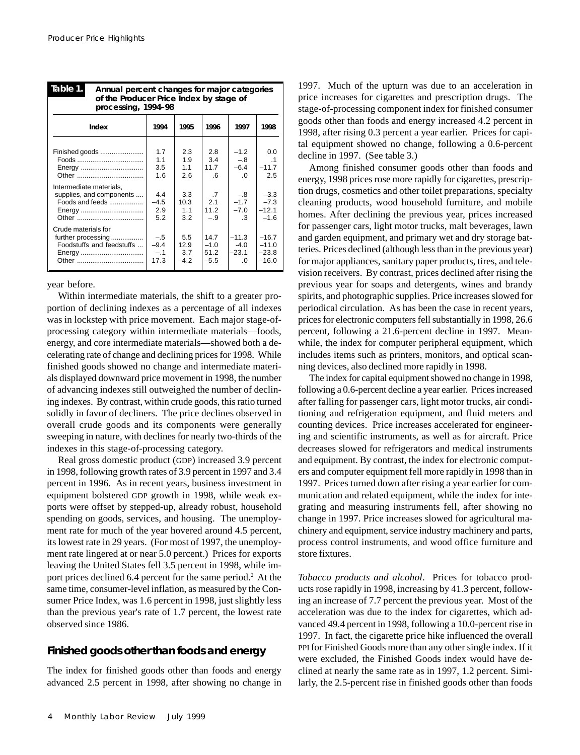| Table 1.<br>Annual percent changes for major categories<br>of the Producer Price Index by stage of<br>processing, 1994-98 |                                                         |                                                                  |                                                        |                                                                                 |                                                                             |  |  |
|---------------------------------------------------------------------------------------------------------------------------|---------------------------------------------------------|------------------------------------------------------------------|--------------------------------------------------------|---------------------------------------------------------------------------------|-----------------------------------------------------------------------------|--|--|
| Index                                                                                                                     | 1994                                                    | 1995                                                             | 1996                                                   | 1997                                                                            | 1998                                                                        |  |  |
| Finished goods<br>Energy<br>Intermediate materials,<br>supplies, and components<br>Foods and feeds<br>Energy              | 1.7<br>1.1<br>3.5<br>1.6<br>4.4<br>$-4.5$<br>2.9<br>5.2 | 2.3<br>1.9<br>1.1<br>2.6<br>3.3<br>10.3<br>1 <sub>1</sub><br>3.2 | 2.8<br>3.4<br>11.7<br>.6<br>.7<br>2.1<br>11.2<br>$-.9$ | $-1.2$<br>$-.8$<br>$-6.4$<br>$\Omega$<br>$-.8$<br>$-1.7$<br>$-7.0$<br>$\cdot$ 3 | 0.0<br>$\cdot$ 1<br>$-11.7$<br>2.5<br>$-3.3$<br>$-7.3$<br>$-12.1$<br>$-1.6$ |  |  |
| Crude materials for<br>further processing<br>Foodstuffs and feedstuffs<br>Energy                                          | $-.5$<br>$-9.4$<br>$-.1$<br>17.3                        | 5.5<br>12.9<br>3.7<br>$-4.2$                                     | 14.7<br>$-1.0$<br>51.2<br>$-5.5$                       | $-11.3$<br>$-4.0$<br>$-23.1$<br>$\Omega$                                        | $-16.7$<br>$-11.0$<br>$-23.8$<br>$-16.0$                                    |  |  |

year before.

Within intermediate materials, the shift to a greater proportion of declining indexes as a percentage of all indexes was in lockstep with price movement. Each major stage-ofprocessing category within intermediate materials—foods, energy, and core intermediate materials—showed both a decelerating rate of change and declining prices for 1998. While finished goods showed no change and intermediate materials displayed downward price movement in 1998, the number of advancing indexes still outweighed the number of declining indexes. By contrast, within crude goods, this ratio turned solidly in favor of decliners. The price declines observed in overall crude goods and its components were generally sweeping in nature, with declines for nearly two-thirds of the indexes in this stage-of-processing category.

Real gross domestic product (GDP) increased 3.9 percent in 1998, following growth rates of 3.9 percent in 1997 and 3.4 percent in 1996. As in recent years, business investment in equipment bolstered GDP growth in 1998, while weak exports were offset by stepped-up, already robust, household spending on goods, services, and housing. The unemployment rate for much of the year hovered around 4.5 percent, its lowest rate in 29 years. (For most of 1997, the unemployment rate lingered at or near 5.0 percent.) Prices for exports leaving the United States fell 3.5 percent in 1998, while import prices declined 6.4 percent for the same period.2 At the same time, consumer-level inflation, as measured by the Consumer Price Index, was 1.6 percent in 1998, just slightly less than the previous year's rate of 1.7 percent, the lowest rate observed since 1986.

## **Finished goods other than foods and energy**

The index for finished goods other than foods and energy advanced 2.5 percent in 1998, after showing no change in

1997. Much of the upturn was due to an acceleration in price increases for cigarettes and prescription drugs. The stage-of-processing component index for finished consumer goods other than foods and energy increased 4.2 percent in 1998, after rising 0.3 percent a year earlier. Prices for capital equipment showed no change, following a 0.6-percent decline in 1997. (See table 3.)

Among finished consumer goods other than foods and energy, 1998 prices rose more rapidly for cigarettes, prescription drugs, cosmetics and other toilet preparations, specialty cleaning products, wood household furniture, and mobile homes. After declining the previous year, prices increased for passenger cars, light motor trucks, malt beverages, lawn and garden equipment, and primary wet and dry storage batteries. Prices declined (although less than in the previous year) for major appliances, sanitary paper products, tires, and television receivers. By contrast, prices declined after rising the previous year for soaps and detergents, wines and brandy spirits, and photographic supplies. Price increases slowed for periodical circulation. As has been the case in recent years, prices for electronic computers fell substantially in 1998, 26.6 percent, following a 21.6-percent decline in 1997. Meanwhile, the index for computer peripheral equipment, which includes items such as printers, monitors, and optical scanning devices, also declined more rapidly in 1998.

The index for capital equipment showed no change in 1998, following a 0.6-percent decline a year earlier. Prices increased after falling for passenger cars, light motor trucks, air conditioning and refrigeration equipment, and fluid meters and counting devices. Price increases accelerated for engineering and scientific instruments, as well as for aircraft. Price decreases slowed for refrigerators and medical instruments and equipment. By contrast, the index for electronic computers and computer equipment fell more rapidly in 1998 than in 1997. Prices turned down after rising a year earlier for communication and related equipment, while the index for integrating and measuring instruments fell, after showing no change in 1997. Price increases slowed for agricultural machinery and equipment, service industry machinery and parts, process control instruments, and wood office furniture and store fixtures.

*Tobacco products and alcohol*. Prices for tobacco products rose rapidly in 1998, increasing by 41.3 percent, following an increase of 7.7 percent the previous year. Most of the acceleration was due to the index for cigarettes, which advanced 49.4 percent in 1998, following a 10.0-percent rise in 1997. In fact, the cigarette price hike influenced the overall PPI for Finished Goods more than any other single index. If it were excluded, the Finished Goods index would have declined at nearly the same rate as in 1997, 1.2 percent. Similarly, the 2.5-percent rise in finished goods other than foods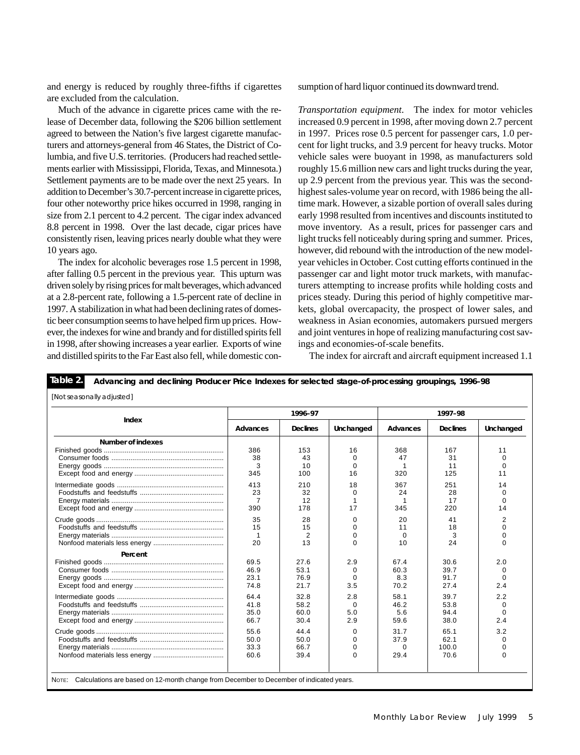and energy is reduced by roughly three-fifths if cigarettes are excluded from the calculation.

Much of the advance in cigarette prices came with the release of December data, following the \$206 billion settlement agreed to between the Nation's five largest cigarette manufacturers and attorneys-general from 46 States, the District of Columbia, and five U.S. territories. (Producers had reached settlements earlier with Mississippi, Florida, Texas, and Minnesota.) Settlement payments are to be made over the next 25 years. In addition to December's 30.7-percent increase in cigarette prices, four other noteworthy price hikes occurred in 1998, ranging in size from 2.1 percent to 4.2 percent. The cigar index advanced 8.8 percent in 1998. Over the last decade, cigar prices have consistently risen, leaving prices nearly double what they were 10 years ago.

The index for alcoholic beverages rose 1.5 percent in 1998, after falling 0.5 percent in the previous year. This upturn was driven solely by rising prices for malt beverages, which advanced at a 2.8-percent rate, following a 1.5-percent rate of decline in 1997. A stabilization in what had been declining rates of domestic beer consumption seems to have helped firm up prices. However, the indexes for wine and brandy and for distilled spirits fell in 1998, after showing increases a year earlier. Exports of wine and distilled spirits to the Far East also fell, while domestic consumption of hard liquor continued its downward trend.

*Transportation equipment*. The index for motor vehicles increased 0.9 percent in 1998, after moving down 2.7 percent in 1997. Prices rose 0.5 percent for passenger cars, 1.0 percent for light trucks, and 3.9 percent for heavy trucks. Motor vehicle sales were buoyant in 1998, as manufacturers sold roughly 15.6 million new cars and light trucks during the year, up 2.9 percent from the previous year. This was the secondhighest sales-volume year on record, with 1986 being the alltime mark. However, a sizable portion of overall sales during early 1998 resulted from incentives and discounts instituted to move inventory. As a result, prices for passenger cars and light trucks fell noticeably during spring and summer. Prices, however, did rebound with the introduction of the new modelyear vehicles in October. Cost cutting efforts continued in the passenger car and light motor truck markets, with manufacturers attempting to increase profits while holding costs and prices steady. During this period of highly competitive markets, global overcapacity, the prospect of lower sales, and weakness in Asian economies, automakers pursued mergers and joint ventures in hope of realizing manufacturing cost savings and economies-of-scale benefits.

The index for aircraft and aircraft equipment increased 1.1

|                   |              | 1996-97         |             |          | 1997-98         |             |
|-------------------|--------------|-----------------|-------------|----------|-----------------|-------------|
| Index             | Advances     | <b>Declines</b> | Unchanged   | Advances | <b>Declines</b> | Unchanged   |
| Number of indexes |              |                 |             |          |                 |             |
|                   | 386          | 153             | 16          | 368      | 167             | 11          |
|                   | 38           | 43              | $\mathbf 0$ | 47       | 31              | $\mathbf 0$ |
|                   | 3            | 10              | $\Omega$    |          | 11              | $\Omega$    |
|                   | 345          | 100             | 16          | 320      | 125             | 11          |
|                   | 413          | 210             | 18          | 367      | 251             | 14          |
|                   | 23           | 32              | $\Omega$    | 24       | 28              | $\Omega$    |
|                   | 7            | 12              | 1           |          | 17              | 0           |
|                   | 390          | 178             | 17          | 345      | 220             | 14          |
|                   | 35           | 28              | $\Omega$    | 20       | 41              | 2           |
|                   | 15           | 15              | $\Omega$    | 11       | 18              | $\Omega$    |
|                   | $\mathbf{1}$ | 2               | $\Omega$    | $\Omega$ | 3               | $\Omega$    |
|                   | 20           | 13              | $\Omega$    | 10       | 24              | $\Omega$    |
| Percent           |              |                 |             |          |                 |             |
|                   | 69.5         | 27.6            | 2.9         | 67.4     | 30.6            | 2.0         |
|                   | 46.9         | 53.1            | $\Omega$    | 60.3     | 39.7            | $\Omega$    |
|                   | 23.1         | 76.9            | $\Omega$    | 8.3      | 91.7            | $\Omega$    |
|                   | 74.8         | 21.7            | 3.5         | 70.2     | 27.4            | 2.4         |
|                   | 64.4         | 32.8            | 2.8         | 58.1     | 39.7            | 2.2         |
|                   | 41.8         | 58.2            | $\Omega$    | 46.2     | 53.8            | 0           |
|                   | 35.0         | 60.0            | 5.0         | 5.6      | 94.4            | $\mathbf 0$ |
|                   | 66.7         | 30.4            | 2.9         | 59.6     | 38.0            | 2.4         |
|                   | 55.6         | 44.4            | $\Omega$    | 31.7     | 65.1            | 3.2         |
|                   | 50.0         | 50.0            | $\Omega$    | 37.9     | 62.1            | $\Omega$    |
|                   | 33.3         | 66.7            | $\Omega$    | $\Omega$ | 100.0           | $\Omega$    |
|                   | 60.6         | 39.4            | $\Omega$    | 29.4     | 70.6            | $\Omega$    |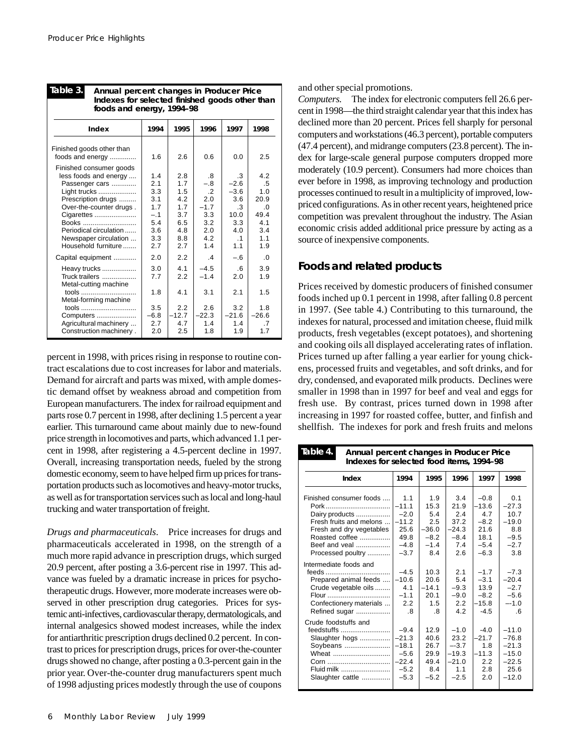| Indexes for selected finished goods other than<br>foods and energy, 1994-98                                                                       |                                          |                                        |                                                  |                                                    |                                              |  |
|---------------------------------------------------------------------------------------------------------------------------------------------------|------------------------------------------|----------------------------------------|--------------------------------------------------|----------------------------------------------------|----------------------------------------------|--|
| Index                                                                                                                                             | 1994                                     | 1995                                   | 1996                                             | 1997                                               | 1998                                         |  |
| Finished goods other than<br>foods and energy                                                                                                     | 1.6                                      | 2.6                                    | 0.6                                              | 0.0                                                | 2.5                                          |  |
| Finished consumer goods<br>less foods and energy<br>Passenger cars<br>Light trucks<br>Prescription drugs<br>Over-the-counter drugs.<br>Cigarettes | 1.4<br>2.1<br>3.3<br>3.1<br>1.7<br>$-.1$ | 2.8<br>1.7<br>1.5<br>4.2<br>1.7<br>3.7 | .8<br>$-.8$<br>$\cdot$ 2<br>2.0<br>$-1.7$<br>3.3 | .3<br>$-2.6$<br>$-3.6$<br>3.6<br>$\cdot$ 3<br>10.0 | 4.2<br>.5<br>1.0<br>20.9<br>$\Omega$<br>49.4 |  |
| Books<br>Periodical circulation<br>Newspaper circulation<br>Household furniture                                                                   | 5.4<br>3.6<br>3.3<br>2.7                 | 6.5<br>4.8<br>8.8<br>2.7               | 3.2<br>2.0<br>4.2<br>1.4                         | 3.3<br>4.0<br>$\cdot$ 1<br>1.1                     | 4.1<br>3.4<br>1.1<br>1.9                     |  |
| Capital equipment<br>Heavy trucks<br>Truck trailers                                                                                               | 2.0<br>3.0<br>7.7                        | 2.2<br>4.1<br>2.2                      | $\mathbf{A}$<br>$-4.5$<br>$-1.4$                 | $-.6$<br>.6<br>2.0                                 | .0<br>3.9<br>1.9                             |  |
| Metal-cutting machine<br>tools<br>Metal-forming machine                                                                                           | 1.8                                      | 4.1                                    | 3.1                                              | 2.1                                                | 1.5                                          |  |
| tools<br>Computers<br>Agricultural machinery                                                                                                      | 3.5<br>$-6.8$<br>2.7                     | 2.2<br>$-12.7$<br>4.7                  | 2.6<br>$-22.3$<br>1.4                            | 3.2<br>$-21.6$<br>1.4                              | 1.8<br>$-26.6$<br>.7                         |  |
| Construction machinery.                                                                                                                           | 2.0                                      | 2.5                                    | 1.8                                              | 1.9                                                | 1.7                                          |  |

**Table 3. Annual percent changes in Producer Price**

percent in 1998, with prices rising in response to routine contract escalations due to cost increases for labor and materials. Demand for aircraft and parts was mixed, with ample domestic demand offset by weakness abroad and competition from European manufacturers. The index for railroad equipment and parts rose 0.7 percent in 1998, after declining 1.5 percent a year earlier. This turnaround came about mainly due to new-found price strength in locomotives and parts, which advanced 1.1 percent in 1998, after registering a 4.5-percent decline in 1997. Overall, increasing transportation needs, fueled by the strong domestic economy, seem to have helped firm up prices for transportation products such as locomotives and heavy-motor trucks, as well as for transportation services such as local and long-haul trucking and water transportation of freight.

*Drugs and pharmaceuticals*. Price increases for drugs and pharmaceuticals accelerated in 1998, on the strength of a much more rapid advance in prescription drugs, which surged 20.9 percent, after posting a 3.6-percent rise in 1997. This advance was fueled by a dramatic increase in prices for psychotherapeutic drugs. However, more moderate increases were observed in other prescription drug categories. Prices for systemic anti-infectives, cardiovascular therapy, dermatologicals, and internal analgesics showed modest increases, while the index for antiarthritic prescription drugs declined 0.2 percent. In contrast to prices for prescription drugs, prices for over-the-counter drugs showed no change, after posting a 0.3-percent gain in the prior year. Over-the-counter drug manufacturers spent much of 1998 adjusting prices modestly through the use of coupons and other special promotions.

*Computers.* The index for electronic computers fell 26.6 percent in 1998—the third straight calendar year that this index has declined more than 20 percent. Prices fell sharply for personal computers and workstations (46.3 percent), portable computers (47.4 percent), and midrange computers (23.8 percent). The index for large-scale general purpose computers dropped more moderately (10.9 percent). Consumers had more choices than ever before in 1998, as improving technology and production processes continued to result in a multiplicity of improved, lowpriced configurations. As in other recent years, heightened price competition was prevalent throughout the industry. The Asian economic crisis added additional price pressure by acting as a source of inexpensive components.

## **Foods and related products**

Prices received by domestic producers of finished consumer foods inched up 0.1 percent in 1998, after falling 0.8 percent in 1997. (See table 4.) Contributing to this turnaround, the indexes for natural, processed and imitation cheese, fluid milk products, fresh vegetables (except potatoes), and shortening and cooking oils all displayed accelerating rates of inflation. Prices turned up after falling a year earlier for young chickens, processed fruits and vegetables, and soft drinks, and for dry, condensed, and evaporated milk products. Declines were smaller in 1998 than in 1997 for beef and veal and eggs for fresh use. By contrast, prices turned down in 1998 after increasing in 1997 for roasted coffee, butter, and finfish and shellfish. The indexes for pork and fresh fruits and melons

| Table 4.<br>Annual percent changes in Producer Price<br>Indexes for selected food items, 1994-98                                                                                   |                                                                         |                                                                 |                                                                 |                                                                        |                                                                        |  |
|------------------------------------------------------------------------------------------------------------------------------------------------------------------------------------|-------------------------------------------------------------------------|-----------------------------------------------------------------|-----------------------------------------------------------------|------------------------------------------------------------------------|------------------------------------------------------------------------|--|
| Index                                                                                                                                                                              | 1994                                                                    | 1995                                                            | 1996                                                            | 1997                                                                   | 1998                                                                   |  |
| Finished consumer foods<br>Dairy products<br>Fresh fruits and melons<br>Fresh and dry vegetables<br>Roasted coffee<br>Beef and yeal<br>Processed poultry<br>Intermediate foods and | 1.1<br>$-11.1$<br>$-2.0$<br>$-11.2$<br>25.6<br>49.8<br>$-4.8$<br>$-3.7$ | 1.9<br>15.3<br>5.4<br>2.5<br>$-36.0$<br>$-8.2$<br>$-1.4$<br>8.4 | 3.4<br>21.9<br>24<br>37.2<br>$-24.3$<br>$-8.4$<br>7.4<br>2.6    | $-0.8$<br>$-13.6$<br>4.7<br>$-8.2$<br>21.6<br>18.1<br>$-5.4$<br>$-6.3$ | 0.1<br>$-27.3$<br>10.7<br>$-19.0$<br>8.8<br>$-9.5$<br>$-2.7$<br>3.8    |  |
| Prepared animal feeds<br>Crude vegetable oils<br>Flour<br>Confectionery materials<br>Refined sugar                                                                                 | $-4.5$<br>$-10.6$<br>4.1<br>$-1.1$<br>2.2<br>.8                         | 10.3<br>20.6<br>$-14.1$<br>20.1<br>1.5<br>.8                    | 2.1<br>5.4<br>$-9.3$<br>$-9.0$<br>2.2<br>4.2                    | $-1.7$<br>$-3.1$<br>13.9<br>$-8.2$<br>$-15.8$<br>$-4.5$                | $-7.3$<br>$-20.4$<br>$-2.7$<br>$-5.6$<br>$-1.0$<br>.6                  |  |
| Crude foodstuffs and<br>feedstuffs<br>Slaughter hogs<br>Soybeans<br>Wheat<br>Fluid milk<br>Slaughter cattle                                                                        | $-9.4$<br>$-21.3$<br>$-18.1$<br>$-5.6$<br>$-22.4$<br>$-5.2$<br>$-5.3$   | 12.9<br>40.6<br>26.7<br>29.9<br>49.4<br>8.4<br>$-5.2$           | $-1.0$<br>23.2<br>$-3.7$<br>$-19.3$<br>$-21.0$<br>1.1<br>$-2.5$ | $-4.0$<br>$-21.7$<br>1.8<br>$-11.3$<br>2.2<br>2.8<br>2.0               | $-11.0$<br>$-76.8$<br>$-21.3$<br>$-15.0$<br>$-22.5$<br>25.6<br>$-12.0$ |  |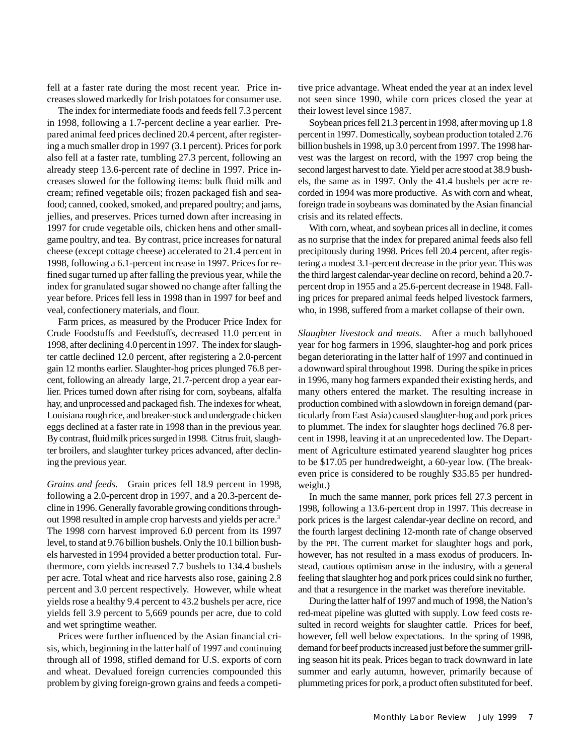fell at a faster rate during the most recent year. Price increases slowed markedly for Irish potatoes for consumer use.

The index for intermediate foods and feeds fell 7.3 percent in 1998, following a 1.7-percent decline a year earlier. Prepared animal feed prices declined 20.4 percent, after registering a much smaller drop in 1997 (3.1 percent). Prices for pork also fell at a faster rate, tumbling 27.3 percent, following an already steep 13.6-percent rate of decline in 1997. Price increases slowed for the following items: bulk fluid milk and cream; refined vegetable oils; frozen packaged fish and seafood; canned, cooked, smoked, and prepared poultry; and jams, jellies, and preserves. Prices turned down after increasing in 1997 for crude vegetable oils, chicken hens and other smallgame poultry, and tea. By contrast, price increases for natural cheese (except cottage cheese) accelerated to 21.4 percent in 1998, following a 6.1-percent increase in 1997. Prices for refined sugar turned up after falling the previous year, while the index for granulated sugar showed no change after falling the year before. Prices fell less in 1998 than in 1997 for beef and veal, confectionery materials, and flour.

Farm prices, as measured by the Producer Price Index for Crude Foodstuffs and Feedstuffs, decreased 11.0 percent in 1998, after declining 4.0 percent in 1997. The index for slaughter cattle declined 12.0 percent, after registering a 2.0-percent gain 12 months earlier. Slaughter-hog prices plunged 76.8 percent, following an already large, 21.7-percent drop a year earlier. Prices turned down after rising for corn, soybeans, alfalfa hay, and unprocessed and packaged fish. The indexes for wheat, Louisiana rough rice, and breaker-stock and undergrade chicken eggs declined at a faster rate in 1998 than in the previous year. By contrast, fluid milk prices surged in 1998. Citrus fruit, slaughter broilers, and slaughter turkey prices advanced, after declining the previous year.

*Grains and feeds*. Grain prices fell 18.9 percent in 1998, following a 2.0-percent drop in 1997, and a 20.3-percent decline in 1996. Generally favorable growing conditions throughout 1998 resulted in ample crop harvests and yields per acre.3 The 1998 corn harvest improved 6.0 percent from its 1997 level, to stand at 9.76 billion bushels. Only the 10.1 billion bushels harvested in 1994 provided a better production total. Furthermore, corn yields increased 7.7 bushels to 134.4 bushels per acre. Total wheat and rice harvests also rose, gaining 2.8 percent and 3.0 percent respectively. However, while wheat yields rose a healthy 9.4 percent to 43.2 bushels per acre, rice yields fell 3.9 percent to 5,669 pounds per acre, due to cold and wet springtime weather.

Prices were further influenced by the Asian financial crisis, which, beginning in the latter half of 1997 and continuing through all of 1998, stifled demand for U.S. exports of corn and wheat. Devalued foreign currencies compounded this problem by giving foreign-grown grains and feeds a competitive price advantage. Wheat ended the year at an index level not seen since 1990, while corn prices closed the year at their lowest level since 1987.

Soybean prices fell 21.3 percent in 1998, after moving up 1.8 percent in 1997. Domestically, soybean production totaled 2.76 billion bushels in 1998, up 3.0 percent from 1997. The 1998 harvest was the largest on record, with the 1997 crop being the second largest harvest to date. Yield per acre stood at 38.9 bushels, the same as in 1997. Only the 41.4 bushels per acre recorded in 1994 was more productive. As with corn and wheat, foreign trade in soybeans was dominated by the Asian financial crisis and its related effects.

With corn, wheat, and soybean prices all in decline, it comes as no surprise that the index for prepared animal feeds also fell precipitously during 1998. Prices fell 20.4 percent, after registering a modest 3.1-percent decrease in the prior year. This was the third largest calendar-year decline on record, behind a 20.7 percent drop in 1955 and a 25.6-percent decrease in 1948. Falling prices for prepared animal feeds helped livestock farmers, who, in 1998, suffered from a market collapse of their own.

*Slaughter livestock and meats*. After a much ballyhooed year for hog farmers in 1996, slaughter-hog and pork prices began deteriorating in the latter half of 1997 and continued in a downward spiral throughout 1998. During the spike in prices in 1996, many hog farmers expanded their existing herds, and many others entered the market. The resulting increase in production combined with a slowdown in foreign demand (particularly from East Asia) caused slaughter-hog and pork prices to plummet. The index for slaughter hogs declined 76.8 percent in 1998, leaving it at an unprecedented low. The Department of Agriculture estimated yearend slaughter hog prices to be \$17.05 per hundredweight, a 60-year low. (The breakeven price is considered to be roughly \$35.85 per hundredweight.)

In much the same manner, pork prices fell 27.3 percent in 1998, following a 13.6-percent drop in 1997. This decrease in pork prices is the largest calendar-year decline on record, and the fourth largest declining 12-month rate of change observed by the PPI. The current market for slaughter hogs and pork, however, has not resulted in a mass exodus of producers. Instead, cautious optimism arose in the industry, with a general feeling that slaughter hog and pork prices could sink no further, and that a resurgence in the market was therefore inevitable.

During the latter half of 1997 and much of 1998, the Nation's red-meat pipeline was glutted with supply. Low feed costs resulted in record weights for slaughter cattle. Prices for beef, however, fell well below expectations. In the spring of 1998, demand for beef products increased just before the summer grilling season hit its peak. Prices began to track downward in late summer and early autumn, however, primarily because of plummeting prices for pork, a product often substituted for beef.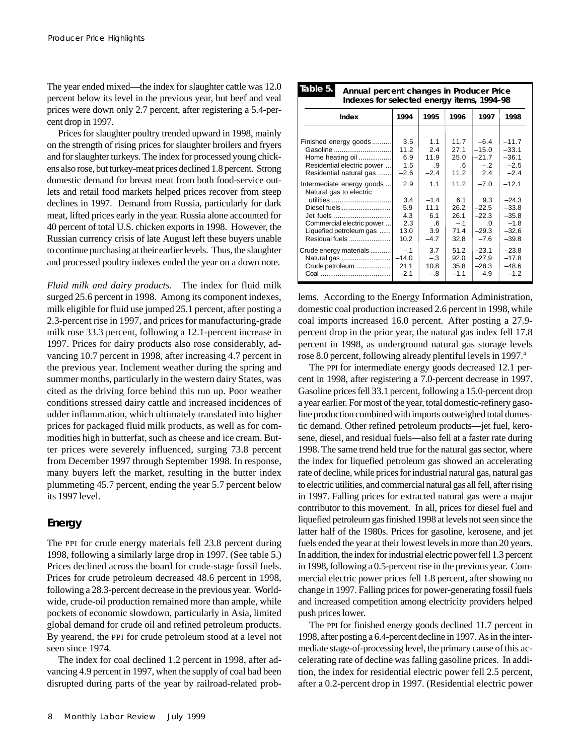The year ended mixed—the index for slaughter cattle was 12.0 percent below its level in the previous year, but beef and veal prices were down only 2.7 percent, after registering a 5.4-percent drop in 1997.

Prices for slaughter poultry trended upward in 1998, mainly on the strength of rising prices for slaughter broilers and fryers and for slaughter turkeys. The index for processed young chickens also rose, but turkey-meat prices declined 1.8 percent. Strong domestic demand for breast meat from both food-service outlets and retail food markets helped prices recover from steep declines in 1997. Demand from Russia, particularly for dark meat, lifted prices early in the year. Russia alone accounted for 40 percent of total U.S. chicken exports in 1998. However, the Russian currency crisis of late August left these buyers unable to continue purchasing at their earlier levels. Thus, the slaughter and processed poultry indexes ended the year on a down note.

*Fluid milk and dairy products*. The index for fluid milk surged 25.6 percent in 1998. Among its component indexes, milk eligible for fluid use jumped 25.1 percent, after posting a 2.3-percent rise in 1997, and prices for manufacturing-grade milk rose 33.3 percent, following a 12.1-percent increase in 1997. Prices for dairy products also rose considerably, advancing 10.7 percent in 1998, after increasing 4.7 percent in the previous year. Inclement weather during the spring and summer months, particularly in the western dairy States, was cited as the driving force behind this run up. Poor weather conditions stressed dairy cattle and increased incidences of udder inflammation, which ultimately translated into higher prices for packaged fluid milk products, as well as for commodities high in butterfat, such as cheese and ice cream. Butter prices were severely influenced, surging 73.8 percent from December 1997 through September 1998. In response, many buyers left the market, resulting in the butter index plummeting 45.7 percent, ending the year 5.7 percent below its 1997 level.

## **Energy**

The PPI for crude energy materials fell 23.8 percent during 1998, following a similarly large drop in 1997. (See table 5.) Prices declined across the board for crude-stage fossil fuels. Prices for crude petroleum decreased 48.6 percent in 1998, following a 28.3-percent decrease in the previous year. Worldwide, crude-oil production remained more than ample, while pockets of economic slowdown, particularly in Asia, limited global demand for crude oil and refined petroleum products. By yearend, the PPI for crude petroleum stood at a level not seen since 1974.

The index for coal declined 1.2 percent in 1998, after advancing 4.9 percent in 1997, when the supply of coal had been disrupted during parts of the year by railroad-related prob-

| iuwic o.<br>Annual percent changes in Producer Price<br>Indexes for selected energy items, 1994-98                                                                       |                                                 |                                                     |                                                      |                                                                      |                                                                          |  |  |
|--------------------------------------------------------------------------------------------------------------------------------------------------------------------------|-------------------------------------------------|-----------------------------------------------------|------------------------------------------------------|----------------------------------------------------------------------|--------------------------------------------------------------------------|--|--|
| Index                                                                                                                                                                    | 1994                                            | 1995                                                | 1996                                                 | 1997                                                                 | 1998                                                                     |  |  |
| Finished energy goods<br>Gasoline<br>Home heating oil<br>Residential electric power<br>Residential natural gas                                                           | 3.5<br>11.2<br>6.9<br>1.5<br>$-2.6$             | 1.1<br>2.4<br>11.9<br>.9<br>$-2.4$                  | 11.7<br>27.1<br>25.0<br>$.6\,$<br>11.2               | $-6.4$<br>$-15.0$<br>$-21.7$<br>$-.2$<br>2.4                         | $-11.7$<br>$-33.1$<br>$-36.1$<br>$-2.5$<br>$-2.4$                        |  |  |
| Intermediate energy goods<br>Natural gas to electric<br>utilities<br>Diesel fuels<br>Jet fuels<br>Commercial electric power<br>Liquefied petroleum gas<br>Residual fuels | 2.9<br>3.4<br>5.9<br>4.3<br>2.3<br>13.0<br>10.2 | 1.1<br>$-1.4$<br>11.1<br>6.1<br>.6<br>3.9<br>$-4.7$ | 11.2<br>6.1<br>26.2<br>26.1<br>$-.1$<br>71.4<br>32.8 | $-7.0$<br>9.3<br>$-22.5$<br>$-22.3$<br>$\Omega$<br>$-29.3$<br>$-7.6$ | $-12.1$<br>$-24.3$<br>$-33.8$<br>$-35.8$<br>$-1.8$<br>$-32.6$<br>$-39.8$ |  |  |
| Crude energy materials<br>Natural gas<br>Crude petroleum                                                                                                                 | $-.1$<br>$-14.0$<br>21.1<br>$-2.1$              | 3.7<br>$-.3$<br>10.8<br>$-.8$                       | 51.2<br>92.0<br>35.8<br>$-1.1$                       | $-23.1$<br>$-27.9$<br>$-28.3$<br>4.9                                 | $-23.8$<br>$-17.8$<br>$-48.6$<br>$-1.2$                                  |  |  |

**Table 5. Annual percent changes in Producer Price**

lems. According to the Energy Information Administration, domestic coal production increased 2.6 percent in 1998, while coal imports increased 16.0 percent. After posting a 27.9 percent drop in the prior year, the natural gas index fell 17.8 percent in 1998, as underground natural gas storage levels rose 8.0 percent, following already plentiful levels in 1997.<sup>4</sup>

The PPI for intermediate energy goods decreased 12.1 percent in 1998, after registering a 7.0-percent decrease in 1997. Gasoline prices fell 33.1 percent, following a 15.0-percent drop a year earlier. For most of the year, total domestic-refinery gasoline production combined with imports outweighed total domestic demand. Other refined petroleum products—jet fuel, kerosene, diesel, and residual fuels—also fell at a faster rate during 1998. The same trend held true for the natural gas sector, where the index for liquefied petroleum gas showed an accelerating rate of decline, while prices for industrial natural gas, natural gas to electric utilities, and commercial natural gas all fell, after rising in 1997. Falling prices for extracted natural gas were a major contributor to this movement. In all, prices for diesel fuel and liquefied petroleum gas finished 1998 at levels not seen since the latter half of the 1980s. Prices for gasoline, kerosene, and jet fuels ended the year at their lowest levels in more than 20 years. In addition, the index for industrial electric power fell 1.3 percent in 1998, following a 0.5-percent rise in the previous year. Commercial electric power prices fell 1.8 percent, after showing no change in 1997. Falling prices for power-generating fossil fuels and increased competition among electricity providers helped push prices lower.

The PPI for finished energy goods declined 11.7 percent in 1998, after posting a 6.4-percent decline in 1997. As in the intermediate stage-of-processing level, the primary cause of this accelerating rate of decline was falling gasoline prices. In addition, the index for residential electric power fell 2.5 percent, after a 0.2-percent drop in 1997. (Residential electric power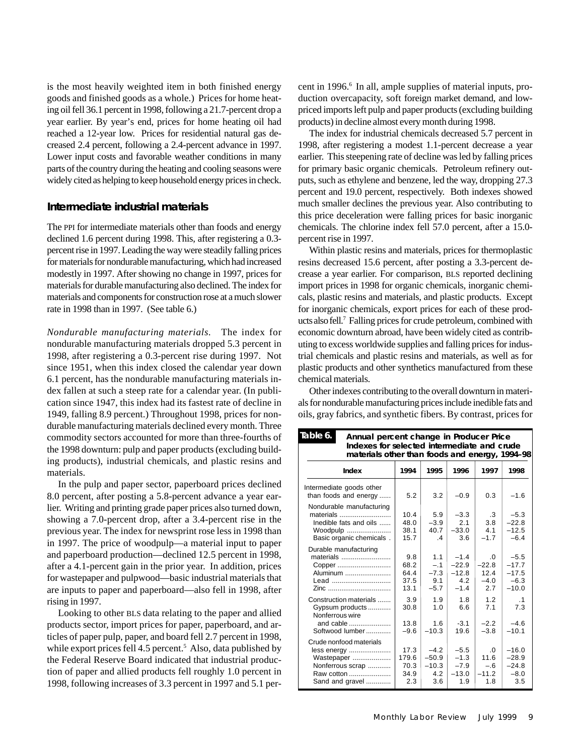is the most heavily weighted item in both finished energy goods and finished goods as a whole.) Prices for home heating oil fell 36.1 percent in 1998, following a 21.7-percent drop a year earlier. By year's end, prices for home heating oil had reached a 12-year low. Prices for residential natural gas decreased 2.4 percent, following a 2.4-percent advance in 1997. Lower input costs and favorable weather conditions in many parts of the country during the heating and cooling seasons were widely cited as helping to keep household energy prices in check.

#### **Intermediate industrial materials**

The PPI for intermediate materials other than foods and energy declined 1.6 percent during 1998. This, after registering a 0.3 percent rise in 1997. Leading the way were steadily falling prices for materials for nondurable manufacturing, which had increased modestly in 1997. After showing no change in 1997, prices for materials for durable manufacturing also declined. The index for materials and components for construction rose at a much slower rate in 1998 than in 1997. (See table 6.)

*Nondurable manufacturing materials.* The index for nondurable manufacturing materials dropped 5.3 percent in 1998, after registering a 0.3-percent rise during 1997. Not since 1951, when this index closed the calendar year down 6.1 percent, has the nondurable manufacturing materials index fallen at such a steep rate for a calendar year. (In publication since 1947, this index had its fastest rate of decline in 1949, falling 8.9 percent.) Throughout 1998, prices for nondurable manufacturing materials declined every month. Three commodity sectors accounted for more than three-fourths of the 1998 downturn: pulp and paper products (excluding building products), industrial chemicals, and plastic resins and materials.

In the pulp and paper sector, paperboard prices declined 8.0 percent, after posting a 5.8-percent advance a year earlier. Writing and printing grade paper prices also turned down, showing a 7.0-percent drop, after a 3.4-percent rise in the previous year. The index for newsprint rose less in 1998 than in 1997. The price of woodpulp—a material input to paper and paperboard production—declined 12.5 percent in 1998, after a 4.1-percent gain in the prior year. In addition, prices for wastepaper and pulpwood—basic industrial materials that are inputs to paper and paperboard—also fell in 1998, after rising in 1997.

Looking to other BLS data relating to the paper and allied products sector, import prices for paper, paperboard, and articles of paper pulp, paper, and board fell 2.7 percent in 1998, while export prices fell 4.5 percent.<sup>5</sup> Also, data published by the Federal Reserve Board indicated that industrial production of paper and allied products fell roughly 1.0 percent in 1998, following increases of 3.3 percent in 1997 and 5.1 percent in 1996.<sup>6</sup> In all, ample supplies of material inputs, production overcapacity, soft foreign market demand, and lowpriced imports left pulp and paper products (excluding building products) in decline almost every month during 1998.

The index for industrial chemicals decreased 5.7 percent in 1998, after registering a modest 1.1-percent decrease a year earlier. This steepening rate of decline was led by falling prices for primary basic organic chemicals. Petroleum refinery outputs, such as ethylene and benzene, led the way, dropping 27.3 percent and 19.0 percent, respectively. Both indexes showed much smaller declines the previous year. Also contributing to this price deceleration were falling prices for basic inorganic chemicals. The chlorine index fell 57.0 percent, after a 15.0 percent rise in 1997.

Within plastic resins and materials, prices for thermoplastic resins decreased 15.6 percent, after posting a 3.3-percent decrease a year earlier. For comparison, BLS reported declining import prices in 1998 for organic chemicals, inorganic chemicals, plastic resins and materials, and plastic products. Except for inorganic chemicals, export prices for each of these products also fell.7 Falling prices for crude petroleum, combined with economic downturn abroad, have been widely cited as contributing to excess worldwide supplies and falling prices for industrial chemicals and plastic resins and materials, as well as for plastic products and other synthetics manufactured from these chemical materials.

Other indexes contributing to the overall downturn in materials for nondurable manufacturing prices include inedible fats and oils, gray fabrics, and synthetic fibers. By contrast, prices for

| Table 6.                                                                                                  | Annual percent change in Producer Price<br>Indexes for selected intermediate and crude<br>materials other than foods and energy, 1994-98 |                                            |                                               |                                              |                                                   |  |  |  |
|-----------------------------------------------------------------------------------------------------------|------------------------------------------------------------------------------------------------------------------------------------------|--------------------------------------------|-----------------------------------------------|----------------------------------------------|---------------------------------------------------|--|--|--|
| Index                                                                                                     | 1994                                                                                                                                     | 1995                                       | 1996                                          | 1997                                         | 1998                                              |  |  |  |
| Intermediate goods other<br>than foods and energy                                                         | 5.2                                                                                                                                      | 3.2                                        | $-0.9$                                        | 0.3                                          | $-1.6$                                            |  |  |  |
| Nondurable manufacturing<br>materials<br>Inedible fats and oils<br>Woodpulp<br>Basic organic chemicals.   | 10.4<br>48.0<br>38.1<br>15.7                                                                                                             | 5.9<br>$-3.9$<br>40.7<br>$\mathbf{A}$      | $-3.3$<br>2.1<br>$-33.0$<br>3.6               | $\cdot$ 3<br>3.8<br>4.1<br>$-1.7$            | $-5.3$<br>$-22.8$<br>$-12.5$<br>$-6.4$            |  |  |  |
| Durable manufacturing<br>materials<br>Copper<br>Aluminum<br>Lead<br>Zinc                                  | 9.8<br>68.2<br>64.4<br>37.5<br>13.1                                                                                                      | 1.1<br>$-.1$<br>$-7.3$<br>9.1<br>$-5.7$    | $-1.4$<br>$-22.9$<br>$-12.8$<br>4.2<br>$-1.4$ | $\Omega$<br>$-22.8$<br>12.4<br>$-4.0$<br>2.7 | $-5.5$<br>$-17.7$<br>$-17.5$<br>$-6.3$<br>$-10.0$ |  |  |  |
| Construction materials<br>Gypsum products<br>Nonferrous wire<br>and cable<br>Softwood lumber              | 3.9<br>30.8<br>13.8<br>$-9.6$                                                                                                            | 19<br>1.0<br>1.6<br>$-10.3$                | 1.8<br>6.6<br>$-3.1$<br>19.6                  | 12<br>7.1<br>$-2.2$<br>$-3.8$                | $\cdot$ 1<br>7.3<br>$-4.6$<br>$-10.1$             |  |  |  |
| Crude nonfood materials<br>less energy<br>Wastepaper<br>Nonferrous scrap<br>Raw cotton<br>Sand and gravel | 17.3<br>179.6<br>70.3<br>34.9<br>2.3                                                                                                     | $-4.2$<br>$-50.9$<br>$-10.3$<br>4.2<br>3.6 | $-5.5$<br>$-1.3$<br>$-7.9$<br>$-13.0$<br>1.9  | $\Omega$<br>11.6<br>$-.6$<br>$-11.2$<br>1.8  | $-16.0$<br>$-28.9$<br>$-24.8$<br>$-8.0$<br>3.5    |  |  |  |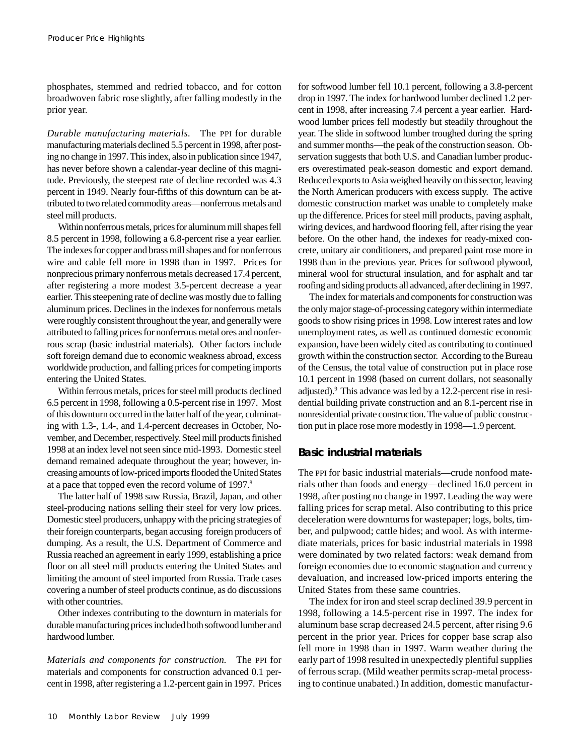phosphates, stemmed and redried tobacco, and for cotton broadwoven fabric rose slightly, after falling modestly in the prior year.

*Durable manufacturing materials.* The PPI for durable manufacturing materials declined 5.5 percent in 1998, after posting no change in 1997. This index, also in publication since 1947, has never before shown a calendar-year decline of this magnitude. Previously, the steepest rate of decline recorded was 4.3 percent in 1949. Nearly four-fifths of this downturn can be attributed to two related commodity areas—nonferrous metals and steel mill products.

Within nonferrous metals, prices for aluminum mill shapes fell 8.5 percent in 1998, following a 6.8-percent rise a year earlier. The indexes for copper and brass mill shapes and for nonferrous wire and cable fell more in 1998 than in 1997. Prices for nonprecious primary nonferrous metals decreased 17.4 percent, after registering a more modest 3.5-percent decrease a year earlier. This steepening rate of decline was mostly due to falling aluminum prices. Declines in the indexes for nonferrous metals were roughly consistent throughout the year, and generally were attributed to falling prices for nonferrous metal ores and nonferrous scrap (basic industrial materials). Other factors include soft foreign demand due to economic weakness abroad, excess worldwide production, and falling prices for competing imports entering the United States.

Within ferrous metals, prices for steel mill products declined 6.5 percent in 1998, following a 0.5-percent rise in 1997. Most of this downturn occurred in the latter half of the year, culminating with 1.3-, 1.4-, and 1.4-percent decreases in October, November, and December, respectively. Steel mill products finished 1998 at an index level not seen since mid-1993. Domestic steel demand remained adequate throughout the year; however, increasing amounts of low-priced imports flooded the United States at a pace that topped even the record volume of 1997.8

The latter half of 1998 saw Russia, Brazil, Japan, and other steel-producing nations selling their steel for very low prices. Domestic steel producers, unhappy with the pricing strategies of their foreign counterparts, began accusing foreign producers of dumping. As a result, the U.S. Department of Commerce and Russia reached an agreement in early 1999, establishing a price floor on all steel mill products entering the United States and limiting the amount of steel imported from Russia. Trade cases covering a number of steel products continue, as do discussions with other countries.

Other indexes contributing to the downturn in materials for durable manufacturing prices included both softwood lumber and hardwood lumber.

*Materials and components for construction.* The PPI for materials and components for construction advanced 0.1 percent in 1998, after registering a 1.2-percent gain in 1997. Prices for softwood lumber fell 10.1 percent, following a 3.8-percent drop in 1997. The index for hardwood lumber declined 1.2 percent in 1998, after increasing 7.4 percent a year earlier. Hardwood lumber prices fell modestly but steadily throughout the year. The slide in softwood lumber troughed during the spring and summer months—the peak of the construction season. Observation suggests that both U.S. and Canadian lumber producers overestimated peak-season domestic and export demand. Reduced exports to Asia weighed heavily on this sector, leaving the North American producers with excess supply. The active domestic construction market was unable to completely make up the difference. Prices for steel mill products, paving asphalt, wiring devices, and hardwood flooring fell, after rising the year before. On the other hand, the indexes for ready-mixed concrete, unitary air conditioners, and prepared paint rose more in 1998 than in the previous year. Prices for softwood plywood, mineral wool for structural insulation, and for asphalt and tar roofing and siding products all advanced, after declining in 1997.

The index for materials and components for construction was the only major stage-of-processing category within intermediate goods to show rising prices in 1998. Low interest rates and low unemployment rates, as well as continued domestic economic expansion, have been widely cited as contributing to continued growth within the construction sector. According to the Bureau of the Census, the total value of construction put in place rose 10.1 percent in 1998 (based on current dollars, not seasonally adjusted).9 This advance was led by a 12.2-percent rise in residential building private construction and an 8.1-percent rise in nonresidential private construction. The value of public construction put in place rose more modestly in 1998—1.9 percent.

#### **Basic industrial materials**

The PPI for basic industrial materials—crude nonfood materials other than foods and energy—declined 16.0 percent in 1998, after posting no change in 1997. Leading the way were falling prices for scrap metal. Also contributing to this price deceleration were downturns for wastepaper; logs, bolts, timber, and pulpwood; cattle hides; and wool. As with intermediate materials, prices for basic industrial materials in 1998 were dominated by two related factors: weak demand from foreign economies due to economic stagnation and currency devaluation, and increased low-priced imports entering the United States from these same countries.

The index for iron and steel scrap declined 39.9 percent in 1998, following a 14.5-percent rise in 1997. The index for aluminum base scrap decreased 24.5 percent, after rising 9.6 percent in the prior year. Prices for copper base scrap also fell more in 1998 than in 1997. Warm weather during the early part of 1998 resulted in unexpectedly plentiful supplies of ferrous scrap. (Mild weather permits scrap-metal processing to continue unabated.) In addition, domestic manufactur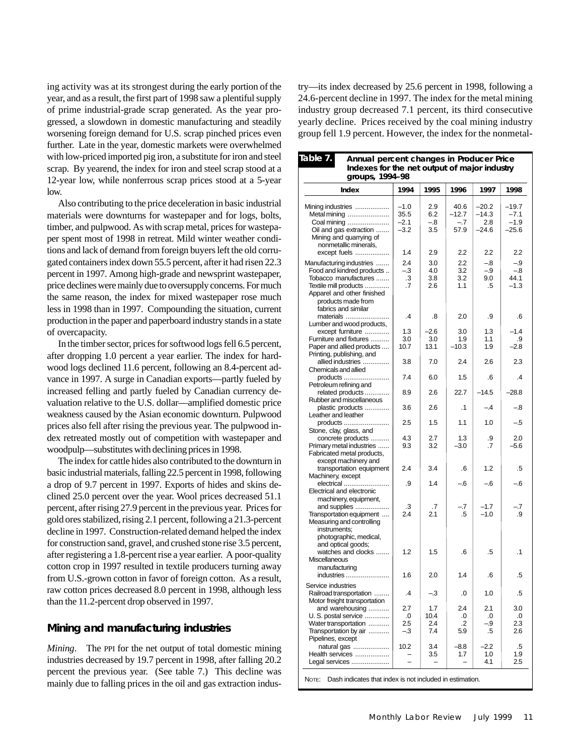ing activity was at its strongest during the early portion of the year, and as a result, the first part of 1998 saw a plentiful supply of prime industrial-grade scrap generated. As the year progressed, a slowdown in domestic manufacturing and steadily worsening foreign demand for U.S. scrap pinched prices even further. Late in the year, domestic markets were overwhelmed with low-priced imported pig iron, a substitute for iron and steel scrap. By yearend, the index for iron and steel scrap stood at a 12-year low, while nonferrous scrap prices stood at a 5-year low.

Also contributing to the price deceleration in basic industrial materials were downturns for wastepaper and for logs, bolts, timber, and pulpwood. As with scrap metal, prices for wastepaper spent most of 1998 in retreat. Mild winter weather conditions and lack of demand from foreign buyers left the old corrugated containers index down 55.5 percent, after it had risen 22.3 percent in 1997. Among high-grade and newsprint wastepaper, price declines were mainly due to oversupply concerns. For much the same reason, the index for mixed wastepaper rose much less in 1998 than in 1997. Compounding the situation, current production in the paper and paperboard industry stands in a state of overcapacity.

In the timber sector, prices for softwood logs fell 6.5 percent, after dropping 1.0 percent a year earlier. The index for hardwood logs declined 11.6 percent, following an 8.4-percent advance in 1997. A surge in Canadian exports—partly fueled by increased felling and partly fueled by Canadian currency devaluation relative to the U.S. dollar—amplified domestic price weakness caused by the Asian economic downturn. Pulpwood prices also fell after rising the previous year. The pulpwood index retreated mostly out of competition with wastepaper and woodpulp—substitutes with declining prices in 1998.

The index for cattle hides also contributed to the downturn in basic industrial materials, falling 22.5 percent in 1998, following a drop of 9.7 percent in 1997. Exports of hides and skins declined 25.0 percent over the year. Wool prices decreased 51.1 percent, after rising 27.9 percent in the previous year. Prices for gold ores stabilized, rising 2.1 percent, following a 21.3-percent decline in 1997. Construction-related demand helped the index for construction sand, gravel, and crushed stone rise 3.5 percent, after registering a 1.8-percent rise a year earlier. A poor-quality cotton crop in 1997 resulted in textile producers turning away from U.S.-grown cotton in favor of foreign cotton. As a result, raw cotton prices decreased 8.0 percent in 1998, although less than the 11.2-percent drop observed in 1997.

### **Mining and manufacturing industries**

*Mining*. The PPI for the net output of total domestic mining industries decreased by 19.7 percent in 1998, after falling 20.2 percent the previous year. (See table 7.) This decline was mainly due to falling prices in the oil and gas extraction industry—its index decreased by 25.6 percent in 1998, following a 24.6-percent decline in 1997. The index for the metal mining industry group decreased 7.1 percent, its third consecutive yearly decline. Prices received by the coal mining industry group fell 1.9 percent. However, the index for the nonmetal-

| Table 7.<br>Annual percent changes in Producer Price<br>Indexes for the net output of major industry<br>groups, 1994-98 |                |        |           |         |                 |  |
|-------------------------------------------------------------------------------------------------------------------------|----------------|--------|-----------|---------|-----------------|--|
| Index                                                                                                                   | 1994           | 1995   | 1996      | 1997    | 1998            |  |
| Mining industries                                                                                                       | $-1.0$         | 2.9    | 40.6      | $-20.2$ | $-19.7$         |  |
| Metal mining                                                                                                            | 35.5           | 6.2    | $-12.7$   | -14.3   | $-7.1$          |  |
| Coal mining                                                                                                             | $-2.1$         | $-.8$  | $-.7$     | 2.8     | $-1.9$          |  |
| Oil and gas extraction                                                                                                  | $-3.2$         | 3.5    | 57.9      | $-24.6$ | $-25.6$         |  |
| Mining and quarrying of                                                                                                 |                |        |           |         |                 |  |
| nonmetallic minerals,                                                                                                   |                |        |           |         |                 |  |
| except fuels                                                                                                            | 1.4            | 2.9    | 2.2       | 2.2     | 2.2             |  |
| Manufacturing industries                                                                                                | 2.4            | 3.0    | 2.2       | -.8     | -.9             |  |
| Food and kindred products                                                                                               | $-.3$          | 4.0    | 3.2       | $-9$    | $-8$            |  |
| Tobacco manufactures                                                                                                    | .3             | 3.8    | 3.2       | 9.0     | 44.1            |  |
| Textile mill products                                                                                                   | .7             | 2.6    | 1.1       | .5      | $-1.3$          |  |
| Apparel and other finished                                                                                              |                |        |           |         |                 |  |
| products made from                                                                                                      |                |        |           |         |                 |  |
| fabrics and similar                                                                                                     |                |        |           |         |                 |  |
| materials                                                                                                               | .4             | .8     | 2.0       | .9      | .6              |  |
| Lumber and wood products,                                                                                               |                |        |           |         |                 |  |
| except furniture                                                                                                        | 1.3            | $-2.6$ | 3.0       | 1.3     | $-1.4$          |  |
| Furniture and fixtures                                                                                                  | 3.0            | 3.0    | 1.9       | 1.1     | .9              |  |
| Paper and allied products                                                                                               | 10.7           | 13.1   | $-10.3$   | 1.9     | $-2.8$          |  |
| Printing, publishing, and                                                                                               |                |        |           |         |                 |  |
| allied industries                                                                                                       | 3.8            | 7.0    | 2.4       | 2.6     | 2.3             |  |
| Chemicals and allied                                                                                                    |                |        |           |         |                 |  |
| products                                                                                                                | 7.4            | 6.0    | 1.5       | .6      | $\overline{.4}$ |  |
| Petroleum refining and                                                                                                  |                |        |           |         |                 |  |
| related products                                                                                                        | 8.9            | 2.6    | 22.7      | $-14.5$ | $-28.8$         |  |
| Rubber and miscellaneous                                                                                                |                |        |           |         |                 |  |
| plastic products                                                                                                        | 3.6            | 2.6    | $\cdot$ 1 | $-.4$   | $-8$            |  |
| Leather and leather                                                                                                     |                |        |           |         |                 |  |
| products                                                                                                                | 2.5            | 1.5    | 1.1       | 1.0     | - 5             |  |
| Stone, clay, glass, and                                                                                                 |                |        |           |         |                 |  |
| concrete products                                                                                                       | 4.3            | 2.7    | 1.3       | .9      | 2.0             |  |
| Primary metal industries                                                                                                | 9.3            | 3.2    | $-3.0$    | .7      | $-5.6$          |  |
| Fabricated metal products,                                                                                              |                |        |           |         |                 |  |
| except machinery and                                                                                                    |                |        |           |         |                 |  |
| transportation equipment                                                                                                | 2.4            | 3.4    | .6        | 1.2     | .5              |  |
| Machinery, except                                                                                                       |                |        |           |         |                 |  |
| electrical                                                                                                              | .9             | 1.4    | $-6$      | -.6     | $-6$            |  |
| Electrical and electronic                                                                                               |                |        |           |         |                 |  |
| machinery, equipment,                                                                                                   |                |        |           |         |                 |  |
| and supplies                                                                                                            | .3             | .7     | -.7       | $-1.7$  | -.7             |  |
| Transportation equipment                                                                                                | 2.4            | 2.1    | .5        | $-1.0$  | .9              |  |
| Measuring and controlling                                                                                               |                |        |           |         |                 |  |
| instruments;                                                                                                            |                |        |           |         |                 |  |
| photographic, medical,                                                                                                  |                |        |           |         |                 |  |
| and optical goods;                                                                                                      |                |        |           |         |                 |  |
| watches and clocks                                                                                                      | 1.2            | 1.5    | .6        | .5      | $\cdot$ 1       |  |
| Miscellaneous                                                                                                           |                |        |           |         |                 |  |
| manufacturing                                                                                                           |                |        |           |         |                 |  |
| industries                                                                                                              | 1.6            | 2.0    | 1.4       | .6      | .5              |  |
| Service industries                                                                                                      |                |        |           |         |                 |  |
| Railroad transportation                                                                                                 | $\overline{A}$ | $-3$   | .0        | 1.0     | .5              |  |
| Motor freight transportation                                                                                            |                |        |           |         |                 |  |
| and warehousing                                                                                                         | 2.7            | 1.7    | 2.4       | 2.1     | 3.0             |  |
| U. S. postal service                                                                                                    | .0             | 10.4   | .0        | .0      | .0              |  |
| Water transportation                                                                                                    | 2.5            | 2.4    | .2        | $-9$    | 2.3             |  |
| Transportation by air                                                                                                   | $-.3$          | 7.4    | 5.9       | .5      | 2.6             |  |
| Pipelines, except                                                                                                       |                |        |           |         |                 |  |
| natural gas                                                                                                             | 10.2           | 3.4    | $-8.8$    | $-2.2$  | .5              |  |
| Health services                                                                                                         |                | 3.5    | 1.7       | 1.0     | 1.9             |  |
| Legal services                                                                                                          |                |        |           | 4.1     | 2.5             |  |
|                                                                                                                         |                |        |           |         |                 |  |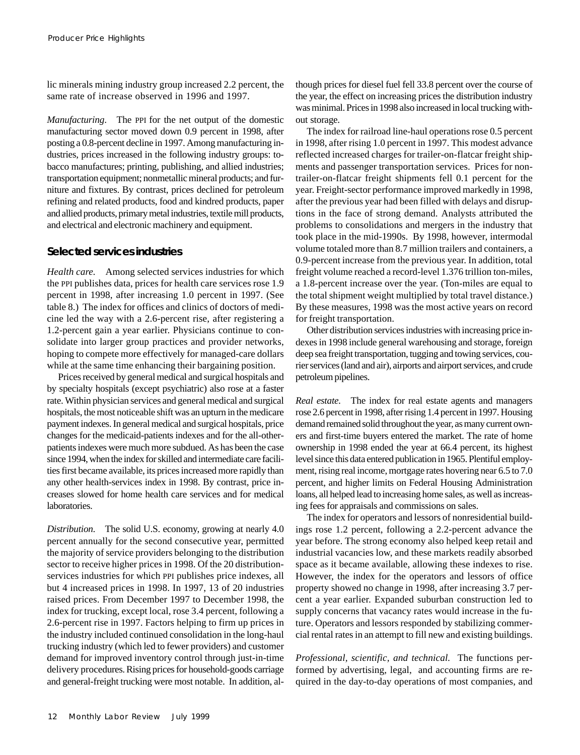lic minerals mining industry group increased 2.2 percent, the same rate of increase observed in 1996 and 1997.

*Manufacturing*. The PPI for the net output of the domestic manufacturing sector moved down 0.9 percent in 1998, after posting a 0.8-percent decline in 1997. Among manufacturing industries, prices increased in the following industry groups: tobacco manufactures; printing, publishing, and allied industries; transportation equipment; nonmetallic mineral products; and furniture and fixtures. By contrast, prices declined for petroleum refining and related products, food and kindred products, paper and allied products, primary metal industries, textile mill products, and electrical and electronic machinery and equipment.

#### **Selected services industries**

*Health care.* Among selected services industries for which the PPI publishes data, prices for health care services rose 1.9 percent in 1998, after increasing 1.0 percent in 1997. (See table 8.) The index for offices and clinics of doctors of medicine led the way with a 2.6-percent rise, after registering a 1.2-percent gain a year earlier. Physicians continue to consolidate into larger group practices and provider networks, hoping to compete more effectively for managed-care dollars while at the same time enhancing their bargaining position.

Prices received by general medical and surgical hospitals and by specialty hospitals (except psychiatric) also rose at a faster rate. Within physician services and general medical and surgical hospitals, the most noticeable shift was an upturn in the medicare payment indexes. In general medical and surgical hospitals, price changes for the medicaid-patients indexes and for the all-otherpatients indexes were much more subdued. As has been the case since 1994, when the index for skilled and intermediate care facilities first became available, its prices increased more rapidly than any other health-services index in 1998. By contrast, price increases slowed for home health care services and for medical laboratories.

*Distribution*. The solid U.S. economy, growing at nearly 4.0 percent annually for the second consecutive year, permitted the majority of service providers belonging to the distribution sector to receive higher prices in 1998. Of the 20 distributionservices industries for which PPI publishes price indexes, all but 4 increased prices in 1998. In 1997, 13 of 20 industries raised prices. From December 1997 to December 1998, the index for trucking, except local, rose 3.4 percent, following a 2.6-percent rise in 1997. Factors helping to firm up prices in the industry included continued consolidation in the long-haul trucking industry (which led to fewer providers) and customer demand for improved inventory control through just-in-time delivery procedures. Rising prices for household-goods carriage and general-freight trucking were most notable. In addition, although prices for diesel fuel fell 33.8 percent over the course of the year, the effect on increasing prices the distribution industry was minimal. Prices in 1998 also increased in local trucking without storage.

The index for railroad line-haul operations rose 0.5 percent in 1998, after rising 1.0 percent in 1997. This modest advance reflected increased charges for trailer-on-flatcar freight shipments and passenger transportation services. Prices for nontrailer-on-flatcar freight shipments fell 0.1 percent for the year. Freight-sector performance improved markedly in 1998, after the previous year had been filled with delays and disruptions in the face of strong demand. Analysts attributed the problems to consolidations and mergers in the industry that took place in the mid-1990s. By 1998, however, intermodal volume totaled more than 8.7 million trailers and containers, a 0.9-percent increase from the previous year. In addition, total freight volume reached a record-level 1.376 trillion ton-miles, a 1.8-percent increase over the year. (Ton-miles are equal to the total shipment weight multiplied by total travel distance.) By these measures, 1998 was the most active years on record for freight transportation.

Other distribution services industries with increasing price indexes in 1998 include general warehousing and storage, foreign deep sea freight transportation, tugging and towing services, courier services (land and air), airports and airport services, and crude petroleum pipelines.

*Real estate.* The index for real estate agents and managers rose 2.6 percent in 1998, after rising 1.4 percent in 1997. Housing demand remained solid throughout the year, as many current owners and first-time buyers entered the market. The rate of home ownership in 1998 ended the year at 66.4 percent, its highest level since this data entered publication in 1965. Plentiful employment, rising real income, mortgage rates hovering near 6.5 to 7.0 percent, and higher limits on Federal Housing Administration loans, all helped lead to increasing home sales, as well as increasing fees for appraisals and commissions on sales.

The index for operators and lessors of nonresidential buildings rose 1.2 percent, following a 2.2-percent advance the year before. The strong economy also helped keep retail and industrial vacancies low, and these markets readily absorbed space as it became available, allowing these indexes to rise. However, the index for the operators and lessors of office property showed no change in 1998, after increasing 3.7 percent a year earlier. Expanded suburban construction led to supply concerns that vacancy rates would increase in the future. Operators and lessors responded by stabilizing commercial rental rates in an attempt to fill new and existing buildings.

*Professional, scientific, and technical.* The functions performed by advertising, legal, and accounting firms are required in the day-to-day operations of most companies, and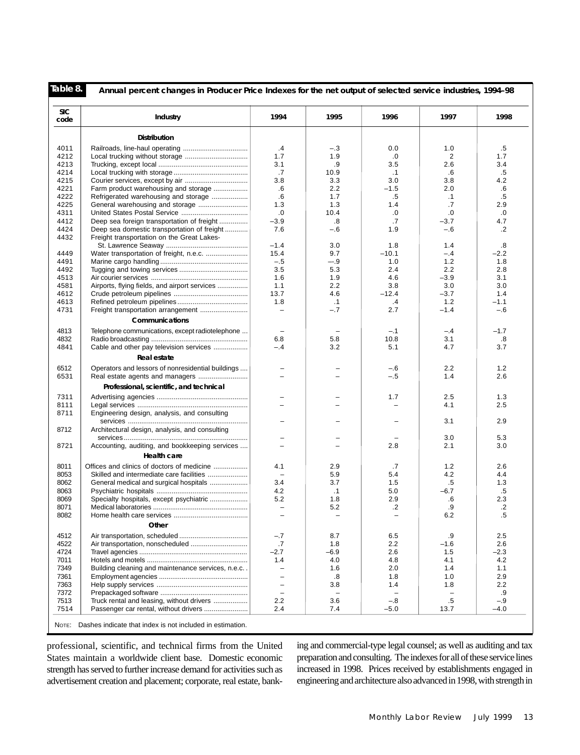| <b>SIC</b><br>code | Industry                                          | 1994                     | 1995                     | 1996                     | 1997              | 1998   |
|--------------------|---------------------------------------------------|--------------------------|--------------------------|--------------------------|-------------------|--------|
|                    | <b>Distribution</b>                               |                          |                          |                          |                   |        |
| 4011               |                                                   | .4                       | $-.3$                    | 0.0                      | 1.0               | .5     |
| 4212               |                                                   | 1.7                      | 1.9                      | .0                       | 2                 | 1.7    |
| 4213               |                                                   | 3.1                      | .9                       | 3.5                      | 2.6               | 3.4    |
| 4214               |                                                   | .7                       | 10.9                     | $\cdot$ 1                | .6                | .5     |
| 4215               |                                                   | 3.8                      | 3.3                      | 3.0                      | 3.8               | 4.2    |
| 4221               | Farm product warehousing and storage              | .6                       | 2.2                      | $-1.5$                   | 2.0               | .6     |
| 4222               | Refrigerated warehousing and storage              | .6                       | 1.7                      | $.5\,$                   | $\cdot$ 1         | .5     |
| 4225               | General warehousing and storage                   | 1.3                      | 1.3                      | 1.4                      | .7                | 2.9    |
| 4311               |                                                   | $.0\,$                   | 10.4                     | .0                       | .0                | .0     |
| 4412               | Deep sea foreign transportation of freight        | $-3.9$                   | .8                       | .7                       | $-3.7$            | 4.7    |
| 4424               | Deep sea domestic transportation of freight       | 7.6                      | $-.6$                    | 1.9                      | $-.6$             | .2     |
| 4432               | Freight transportation on the Great Lakes-        |                          |                          |                          |                   |        |
|                    |                                                   | $-1.4$                   | 3.0                      | 1.8                      | 1.4               | .8     |
| 4449               | Water transportation of freight, n.e.c.           | 15.4                     | 9.7                      | $-10.1$                  | $-.4$             | $-2.2$ |
| 4491               |                                                   | $-.5$                    | $-.9$                    | 1.0                      | 1.2               | 1.8    |
| 4492               |                                                   | 3.5                      | 5.3                      | 2.4                      | 2.2               | 2.8    |
| 4513               |                                                   | 1.6                      | 1.9                      | 4.6                      | $-3.9$            | 3.1    |
| 4581               | Airports, flying fields, and airport services     | 1.1                      | 2.2                      | 3.8                      | 3.0               | 3.0    |
| 4612               |                                                   | 13.7                     | 4.6                      | $-12.4$                  | $-3.7$            | 1.4    |
| 4613               |                                                   | 1.8                      | $\cdot$ 1                | .4                       | 1.2               | $-1.1$ |
| 4731               | Freight transportation arrangement                | $\overline{\phantom{0}}$ | $-.7$                    | 2.7                      | $-1.4$            | $-.6$  |
|                    | Communications                                    |                          |                          |                          |                   |        |
| 4813               | Telephone communications, except radiotelephone   | $\overline{\phantom{a}}$ |                          | $-.1$                    | $-.4$             | $-1.7$ |
| 4832               |                                                   | 6.8                      | 5.8                      | 10.8                     | 3.1               | .8     |
| 4841               | Cable and other pay television services           | $-.4$                    | 3.2                      | 5.1                      | 4.7               | 3.7    |
|                    | Real estate                                       |                          |                          |                          |                   |        |
| 6512               | Operators and lessors of nonresidential buildings |                          |                          | $-6$                     | 2.2               | 1.2    |
| 6531               | Real estate agents and managers                   | $\equiv$                 |                          | $-.5$                    | 1.4               | 2.6    |
|                    | Professional, scientific, and technical           |                          |                          |                          |                   |        |
| 7311               |                                                   |                          |                          | 1.7                      | 2.5               | 1.3    |
| 8111               |                                                   | $=$                      |                          |                          | 4.1               | 2.5    |
| 8711               |                                                   |                          |                          |                          |                   |        |
|                    | Engineering design, analysis, and consulting      | $\equiv$                 |                          |                          | 3.1               | 2.9    |
| 8712               | Architectural design, analysis, and consulting    |                          |                          |                          |                   |        |
|                    |                                                   | $\overline{\phantom{m}}$ |                          |                          | 3.0               | 5.3    |
| 8721               | Accounting, auditing, and bookkeeping services    | $\overline{\phantom{0}}$ |                          | 2.8                      | 2.1               | 3.0    |
|                    |                                                   |                          |                          |                          |                   |        |
|                    | Health care                                       |                          |                          |                          |                   |        |
| 8011               | Offices and clinics of doctors of medicine        | 4.1                      | 2.9                      | .7                       | 1.2               | 2.6    |
| 8053               | Skilled and intermediate care facilities          | $\qquad \qquad -$        | 5.9                      | 5.4                      | 4.2               | 4.4    |
| 8062               | General medical and surgical hospitals            | 3.4                      | 3.7                      | 1.5                      | .5                | 1.3    |
| 8063               |                                                   | 4.2                      | $\cdot$ 1                | 5.0                      | $-6.7$            | .5     |
| 8069               | Specialty hospitals, except psychiatric           | 5.2                      | 1.8                      | 2.9                      | .6                | 2.3    |
| 8071               |                                                   | $\qquad \qquad -$        | 5.2                      | $\cdot$                  | .9                | .2     |
| 8082               |                                                   | $\equiv$                 | ÷                        | $\overline{\phantom{a}}$ | 6.2               | .5     |
|                    | Other                                             |                          |                          |                          |                   |        |
| 4512               |                                                   | $-.7$                    | 8.7                      | 6.5                      | .9                | 2.5    |
| 4522               |                                                   | .7                       | 1.8                      | 2.2                      | $-1.6$            | 2.6    |
| 4724               |                                                   | $-2.7$                   | -6.9                     | 2.6                      | 1.5               | $-2.3$ |
| 7011               |                                                   | 1.4                      | 4.0                      | 4.8                      | 4.1               | 4.2    |
| 7349               | Building cleaning and maintenance services, n.e.c | $\overline{\phantom{m}}$ | 1.6                      | 2.0                      | 1.4               | 1.1    |
| 7361               |                                                   | $\overline{\phantom{a}}$ | .8                       | 1.8                      | 1.0               | 2.9    |
| 7363               |                                                   | $\overline{\phantom{0}}$ | 3.8                      | 1.4                      | 1.8               | 2.2    |
| 7372               |                                                   | $\overline{\phantom{0}}$ | $\overline{\phantom{a}}$ | $\overline{\phantom{m}}$ | $\qquad \qquad -$ | .9     |
| 7513               | Truck rental and leasing, without drivers         | 2.2                      | 3.6                      | $-.8$                    | $.5\,$            | $-.9$  |
| 7514               | Passenger car rental, without drivers             | 2.4                      | 7.4                      | $-5.0$                   | 13.7              | $-4.0$ |

professional, scientific, and technical firms from the United States maintain a worldwide client base. Domestic economic strength has served to further increase demand for activities such as advertisement creation and placement; corporate, real estate, banking and commercial-type legal counsel; as well as auditing and tax preparation and consulting. The indexes for all of these service lines increased in 1998. Prices received by establishments engaged in engineering and architecture also advanced in 1998, with strength in